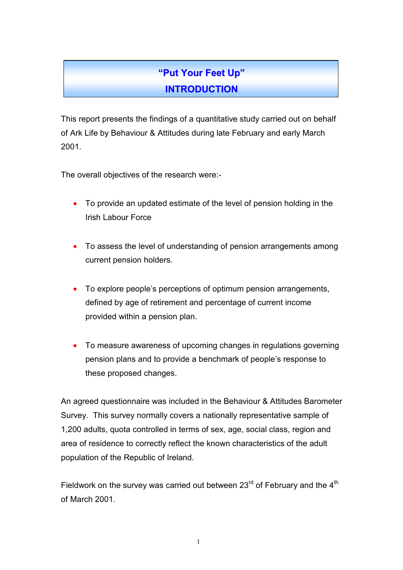## **"Put Your Feet Up" INTRODUCTION**

This report presents the findings of a quantitative study carried out on behalf of Ark Life by Behaviour & Attitudes during late February and early March 2001.

The overall objectives of the research were:-

- To provide an updated estimate of the level of pension holding in the Irish Labour Force
- To assess the level of understanding of pension arrangements among current pension holders.
- To explore people's perceptions of optimum pension arrangements, defined by age of retirement and percentage of current income provided within a pension plan.
- To measure awareness of upcoming changes in regulations governing pension plans and to provide a benchmark of people's response to these proposed changes.

An agreed questionnaire was included in the Behaviour & Attitudes Barometer Survey. This survey normally covers a nationally representative sample of 1,200 adults, quota controlled in terms of sex, age, social class, region and area of residence to correctly reflect the known characteristics of the adult population of the Republic of Ireland.

Fieldwork on the survey was carried out between  $23<sup>rd</sup>$  of February and the  $4<sup>th</sup>$ of March 2001.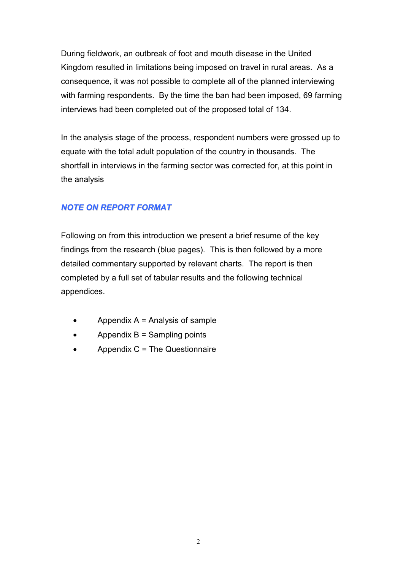During fieldwork, an outbreak of foot and mouth disease in the United Kingdom resulted in limitations being imposed on travel in rural areas. As a consequence, it was not possible to complete all of the planned interviewing with farming respondents. By the time the ban had been imposed, 69 farming interviews had been completed out of the proposed total of 134.

In the analysis stage of the process, respondent numbers were grossed up to equate with the total adult population of the country in thousands. The shortfall in interviews in the farming sector was corrected for, at this point in the analysis

### *NOTE ON REPORT FORMAT*

Following on from this introduction we present a brief resume of the key findings from the research (blue pages). This is then followed by a more detailed commentary supported by relevant charts. The report is then completed by a full set of tabular results and the following technical appendices.

- Appendix  $A =$  Analysis of sample
- Appendix  $B =$  Sampling points
- Appendix C = The Questionnaire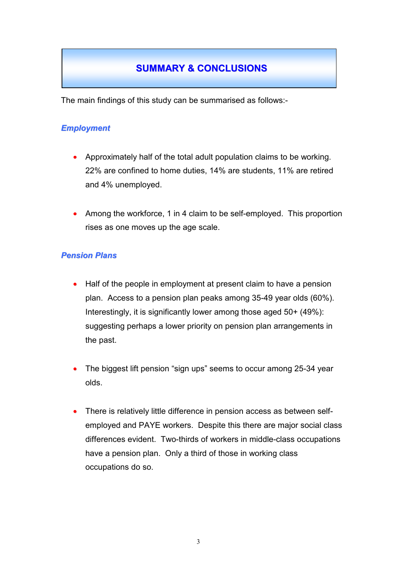## **SUMMARY & CONCLUSIONS**

The main findings of this study can be summarised as follows:-

### *Employment*

- Approximately half of the total adult population claims to be working. 22% are confined to home duties, 14% are students, 11% are retired and 4% unemployed.
- Among the workforce, 1 in 4 claim to be self-employed. This proportion rises as one moves up the age scale.

### *Pension Plans*

- Half of the people in employment at present claim to have a pension plan. Access to a pension plan peaks among 35-49 year olds (60%). Interestingly, it is significantly lower among those aged 50+ (49%): suggesting perhaps a lower priority on pension plan arrangements in the past.
- The biggest lift pension "sign ups" seems to occur among 25-34 year olds.
- There is relatively little difference in pension access as between selfemployed and PAYE workers. Despite this there are major social class differences evident. Two-thirds of workers in middle-class occupations have a pension plan. Only a third of those in working class occupations do so.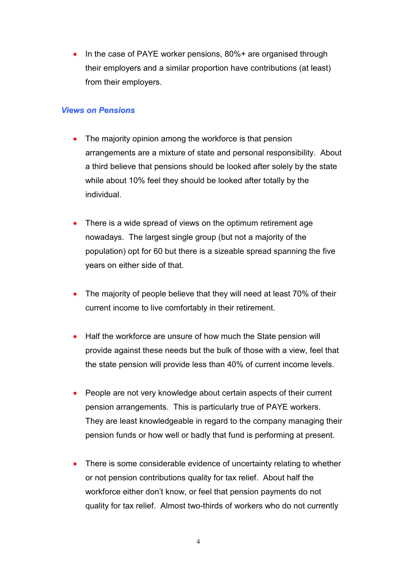• In the case of PAYE worker pensions, 80%+ are organised through their employers and a similar proportion have contributions (at least) from their employers.

#### *Views on Pensions*

- The majority opinion among the workforce is that pension arrangements are a mixture of state and personal responsibility. About a third believe that pensions should be looked after solely by the state while about 10% feel they should be looked after totally by the individual.
- There is a wide spread of views on the optimum retirement age nowadays. The largest single group (but not a majority of the population) opt for 60 but there is a sizeable spread spanning the five years on either side of that.
- The majority of people believe that they will need at least 70% of their current income to live comfortably in their retirement.
- Half the workforce are unsure of how much the State pension will provide against these needs but the bulk of those with a view, feel that the state pension will provide less than 40% of current income levels.
- People are not very knowledge about certain aspects of their current pension arrangements. This is particularly true of PAYE workers. They are least knowledgeable in regard to the company managing their pension funds or how well or badly that fund is performing at present.
- There is some considerable evidence of uncertainty relating to whether or not pension contributions quality for tax relief. About half the workforce either don't know, or feel that pension payments do not quality for tax relief. Almost two-thirds of workers who do not currently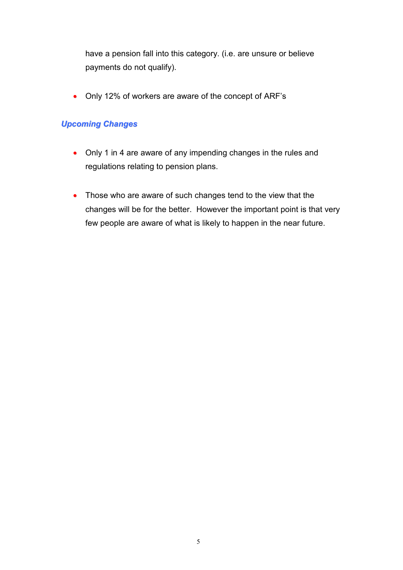have a pension fall into this category. (i.e. are unsure or believe payments do not qualify).

• Only 12% of workers are aware of the concept of ARF's

### *Upcoming Changes*

- Only 1 in 4 are aware of any impending changes in the rules and regulations relating to pension plans.
- Those who are aware of such changes tend to the view that the changes will be for the better. However the important point is that very few people are aware of what is likely to happen in the near future.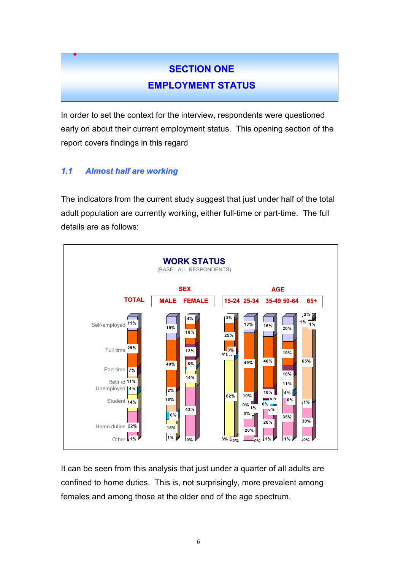# **SECTION ONE EMPLOYMENT STATUS**

In order to set the context for the interview, respondents were questioned early on about their current employment status. This opening section of the report covers findings in this regard

### *1.1 Almost half are working*

•

The indicators from the current study suggest that just under half of the total adult population are currently working, either full-time or part-time. The full details are as follows:



It can be seen from this analysis that just under a quarter of all adults are confined to home duties. This is, not surprisingly, more prevalent among females and among those at the older end of the age spectrum.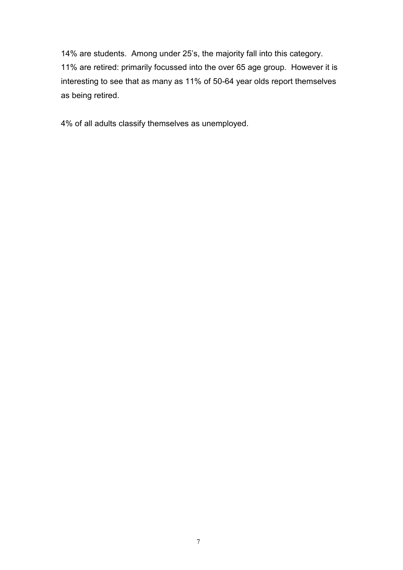14% are students. Among under 25's, the majority fall into this category. 11% are retired: primarily focussed into the over 65 age group. However it is interesting to see that as many as 11% of 50-64 year olds report themselves as being retired.

4% of all adults classify themselves as unemployed.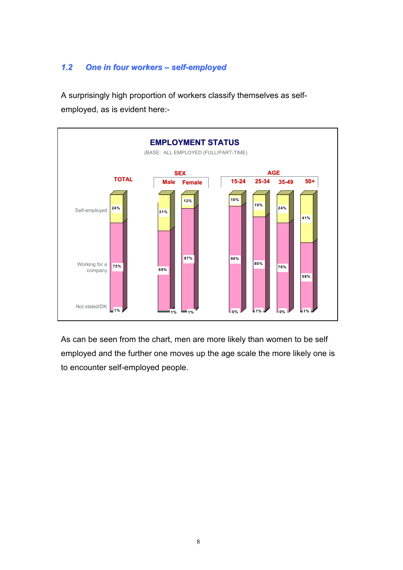### *1.2 One in four workers – self-employed*

A surprisingly high proportion of workers classify themselves as selfemployed, as is evident here:-



As can be seen from the chart, men are more likely than women to be self employed and the further one moves up the age scale the more likely one is to encounter self-employed people.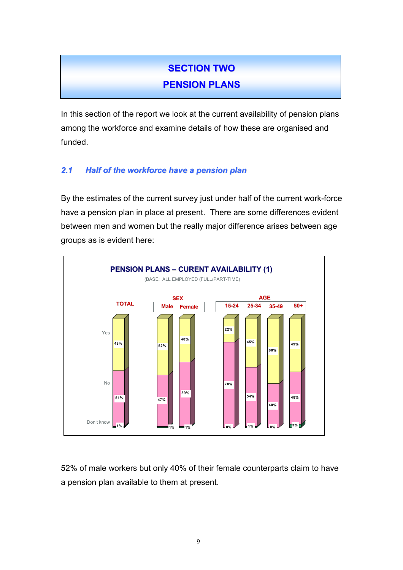# **SECTION TWO**

## **PENSION PLANS**

In this section of the report we look at the current availability of pension plans among the workforce and examine details of how these are organised and funded.

### *2.1 Half of the workforce have a pension plan*

By the estimates of the current survey just under half of the current work-force have a pension plan in place at present. There are some differences evident between men and women but the really major difference arises between age groups as is evident here:



52% of male workers but only 40% of their female counterparts claim to have a pension plan available to them at present.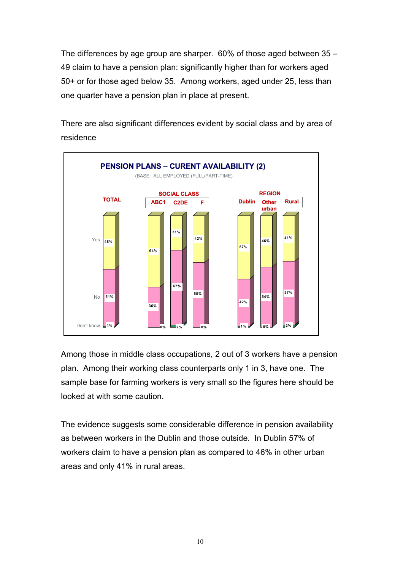The differences by age group are sharper. 60% of those aged between 35 – 49 claim to have a pension plan: significantly higher than for workers aged 50+ or for those aged below 35. Among workers, aged under 25, less than one quarter have a pension plan in place at present.

There are also significant differences evident by social class and by area of residence



Among those in middle class occupations, 2 out of 3 workers have a pension plan. Among their working class counterparts only 1 in 3, have one. The sample base for farming workers is very small so the figures here should be looked at with some caution.

The evidence suggests some considerable difference in pension availability as between workers in the Dublin and those outside. In Dublin 57% of workers claim to have a pension plan as compared to 46% in other urban areas and only 41% in rural areas.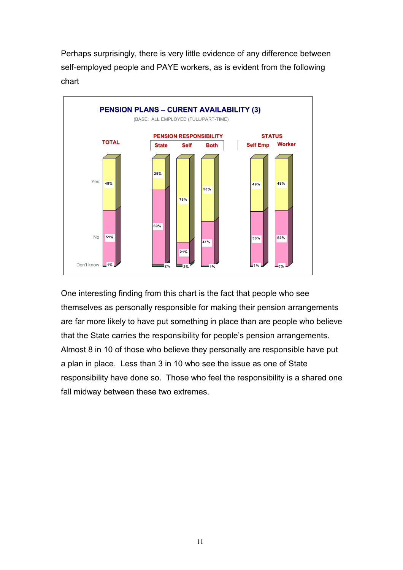Perhaps surprisingly, there is very little evidence of any difference between self-employed people and PAYE workers, as is evident from the following chart



One interesting finding from this chart is the fact that people who see themselves as personally responsible for making their pension arrangements are far more likely to have put something in place than are people who believe that the State carries the responsibility for people's pension arrangements. Almost 8 in 10 of those who believe they personally are responsible have put a plan in place. Less than 3 in 10 who see the issue as one of State responsibility have done so. Those who feel the responsibility is a shared one fall midway between these two extremes.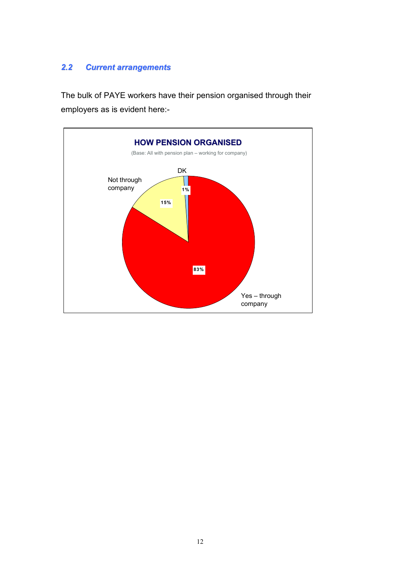### *2.2 Current arrangements*

The bulk of PAYE workers have their pension organised through their employers as is evident here:-

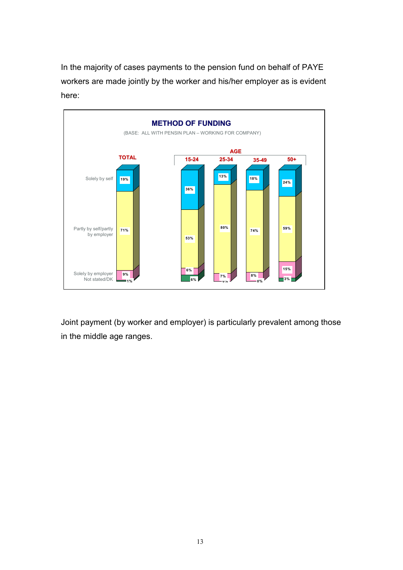In the majority of cases payments to the pension fund on behalf of PAYE workers are made jointly by the worker and his/her employer as is evident here:



Joint payment (by worker and employer) is particularly prevalent among those in the middle age ranges.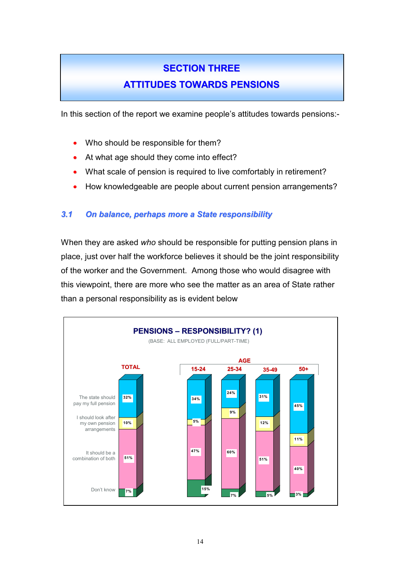# **SECTION THREE**

## **ATTITUDES TOWARDS PENSIONS**

In this section of the report we examine people's attitudes towards pensions:-

- Who should be responsible for them?
- At what age should they come into effect?
- What scale of pension is required to live comfortably in retirement?
- How knowledgeable are people about current pension arrangements?

### *3.1 On balance, perhaps more a State responsibility*

When they are asked *who* should be responsible for putting pension plans in place, just over half the workforce believes it should be the joint responsibility of the worker and the Government. Among those who would disagree with this viewpoint, there are more who see the matter as an area of State rather than a personal responsibility as is evident below

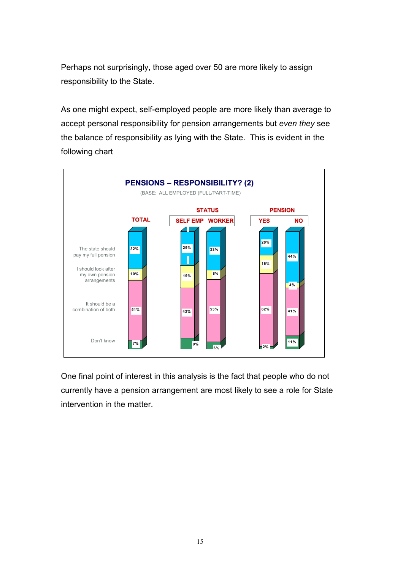Perhaps not surprisingly, those aged over 50 are more likely to assign responsibility to the State.

As one might expect, self-employed people are more likely than average to accept personal responsibility for pension arrangements but *even they* see the balance of responsibility as lying with the State. This is evident in the following chart



One final point of interest in this analysis is the fact that people who do not currently have a pension arrangement are most likely to see a role for State intervention in the matter.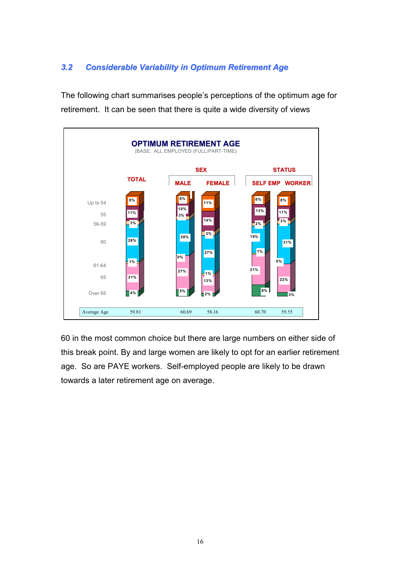### *3.2 Considerable Variability in Optimum Retirement Age*

The following chart summarises people's perceptions of the optimum age for retirement. It can be seen that there is quite a wide diversity of views



60 in the most common choice but there are large numbers on either side of this break point. By and large women are likely to opt for an earlier retirement age. So are PAYE workers. Self-employed people are likely to be drawn towards a later retirement age on average.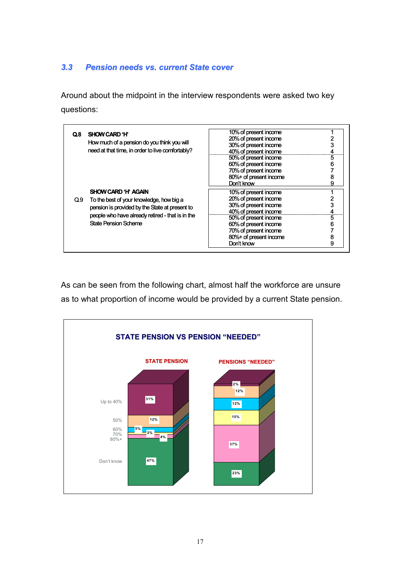### *3.3 Pension needs vs. current State cover*

Around about the midpoint in the interview respondents were asked two key questions:

| Q.8 | <b>SHOW CARD 'H'</b><br>How much of a pension do you think you will<br>need at that time, in order to live comfortably?                                                       | 10% of present income<br>20% of present income<br>30% of present income<br>40% of present income<br>50% of present income<br>60% of present income | 6 |
|-----|-------------------------------------------------------------------------------------------------------------------------------------------------------------------------------|----------------------------------------------------------------------------------------------------------------------------------------------------|---|
|     |                                                                                                                                                                               | 70% of present income<br>80%+ of present income<br>Don't know                                                                                      |   |
|     | SHOW CARD 'H' AGAIN                                                                                                                                                           | 10% of present income                                                                                                                              |   |
| Q.9 | To the best of your knowledge, how big a<br>pension is provided by the State at present to<br>people who have already retired - that is in the<br><b>State Pension Scheme</b> | 20% of present income                                                                                                                              |   |
|     |                                                                                                                                                                               | 30% of present income                                                                                                                              |   |
|     |                                                                                                                                                                               | 40% of present income                                                                                                                              |   |
|     |                                                                                                                                                                               | 50% of present income                                                                                                                              | 5 |
|     |                                                                                                                                                                               | 60% of present income                                                                                                                              | 6 |
|     |                                                                                                                                                                               | 70% of present income                                                                                                                              |   |
|     |                                                                                                                                                                               | 80%+ of present income                                                                                                                             | 8 |
|     |                                                                                                                                                                               | Don't know                                                                                                                                         | 9 |

As can be seen from the following chart, almost half the workforce are unsure as to what proportion of income would be provided by a current State pension.

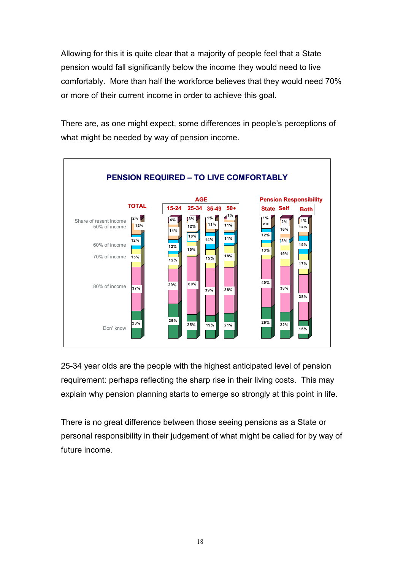Allowing for this it is quite clear that a majority of people feel that a State pension would fall significantly below the income they would need to live comfortably. More than half the workforce believes that they would need 70% or more of their current income in order to achieve this goal.

There are, as one might expect, some differences in people's perceptions of what might be needed by way of pension income.



25-34 year olds are the people with the highest anticipated level of pension requirement: perhaps reflecting the sharp rise in their living costs. This may explain why pension planning starts to emerge so strongly at this point in life.

There is no great difference between those seeing pensions as a State or personal responsibility in their judgement of what might be called for by way of future income.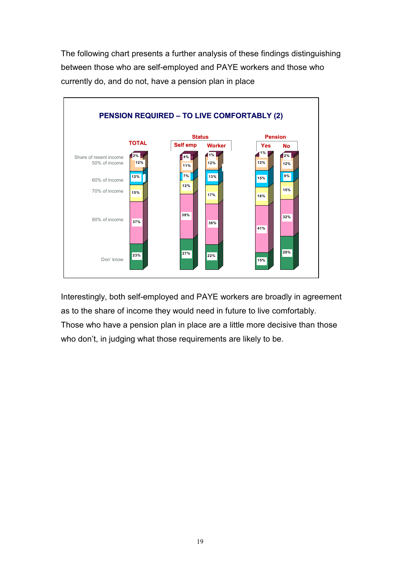The following chart presents a further analysis of these findings distinguishing between those who are self-employed and PAYE workers and those who currently do, and do not, have a pension plan in place



Interestingly, both self-employed and PAYE workers are broadly in agreement as to the share of income they would need in future to live comfortably. Those who have a pension plan in place are a little more decisive than those who don't, in judging what those requirements are likely to be.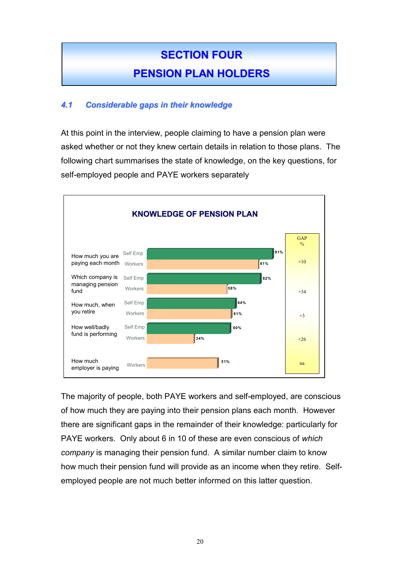# **SECTION FOUR PENSION PLAN HOLDERS**

### *4.1 Considerable gaps in their knowledge*

At this point in the interview, people claiming to have a pension plan were asked whether or not they knew certain details in relation to those plans. The following chart summarises the state of knowledge, on the key questions, for self-employed people and PAYE workers separately



The majority of people, both PAYE workers and self-employed, are conscious of how much they are paying into their pension plans each month. However there are significant gaps in the remainder of their knowledge: particularly for PAYE workers. Only about 6 in 10 of these are even conscious of *which company* is managing their pension fund. A similar number claim to know how much their pension fund will provide as an income when they retire. Selfemployed people are not much better informed on this latter question.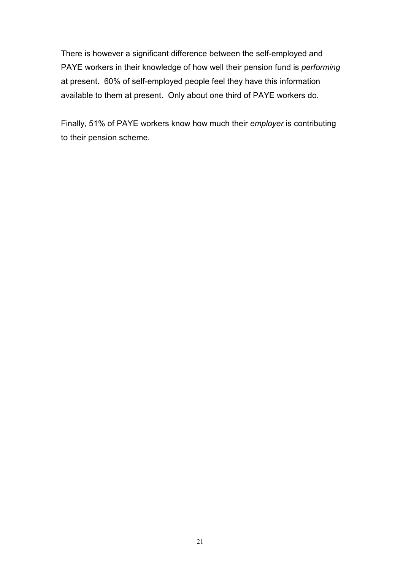There is however a significant difference between the self-employed and PAYE workers in their knowledge of how well their pension fund is *performing* at present. 60% of self-employed people feel they have this information available to them at present. Only about one third of PAYE workers do.

Finally, 51% of PAYE workers know how much their *employer* is contributing to their pension scheme.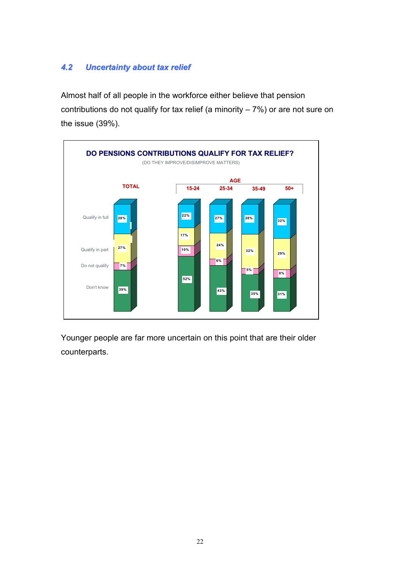### *4.2 Uncertainty about tax relief*

Almost half of all people in the workforce either believe that pension contributions do not qualify for tax relief (a minority  $-7\%$ ) or are not sure on the issue (39%).



Younger people are far more uncertain on this point that are their older counterparts.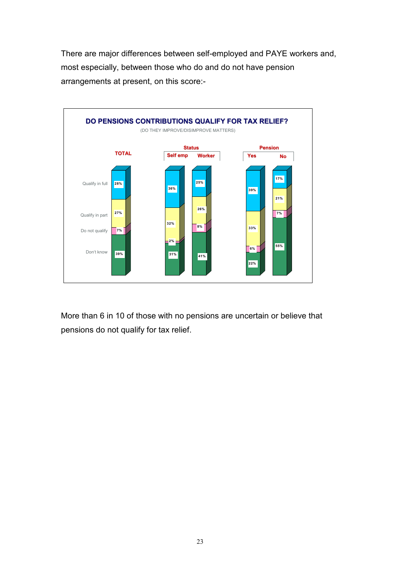There are major differences between self-employed and PAYE workers and, most especially, between those who do and do not have pension arrangements at present, on this score:-



More than 6 in 10 of those with no pensions are uncertain or believe that pensions do not qualify for tax relief.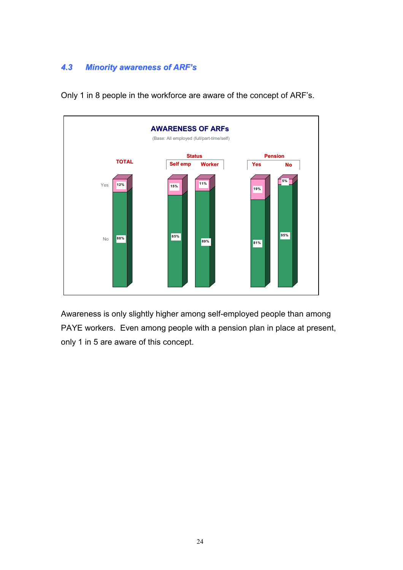### *4.3 Minority awareness of ARF's*



Only 1 in 8 people in the workforce are aware of the concept of ARF's.

Awareness is only slightly higher among self-employed people than among PAYE workers. Even among people with a pension plan in place at present, only 1 in 5 are aware of this concept.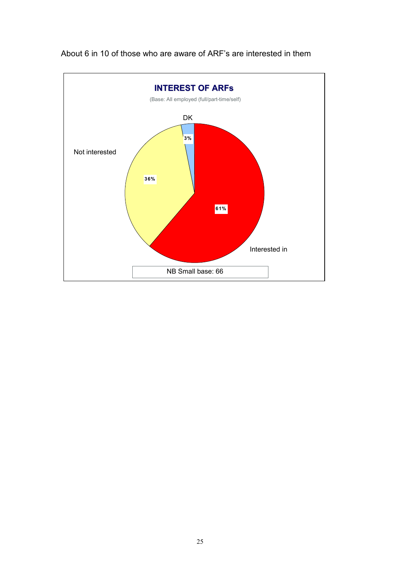

About 6 in 10 of those who are aware of ARF's are interested in them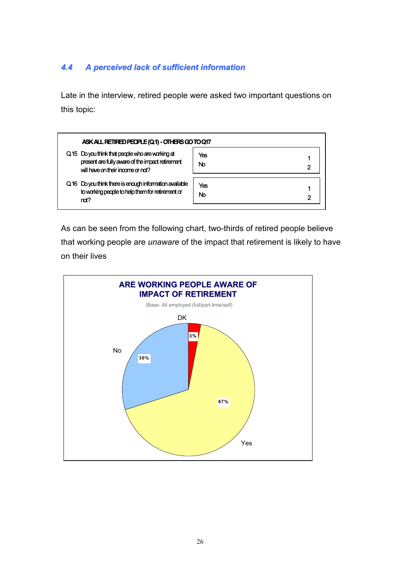### *4.4 A perceived lack of sufficient information*

Late in the interview, retired people were asked two important questions on this topic:

| ASK ALL RETIRED PEOPLE (Q1) - OTHERS GO TO Q17                                                                                            |                |
|-------------------------------------------------------------------------------------------------------------------------------------------|----------------|
| Q.15 Do you think that people who are working at<br>present are fully aware of the impact retirement<br>will have on their income or not? | Yes<br>Nb      |
| Q.16 Do you think there is enough information available<br>to working people to help them for retirement or<br>not?                       | Yes<br>No<br>2 |

As can be seen from the following chart, two-thirds of retired people believe that working people are *unaware* of the impact that retirement is likely to have on their lives

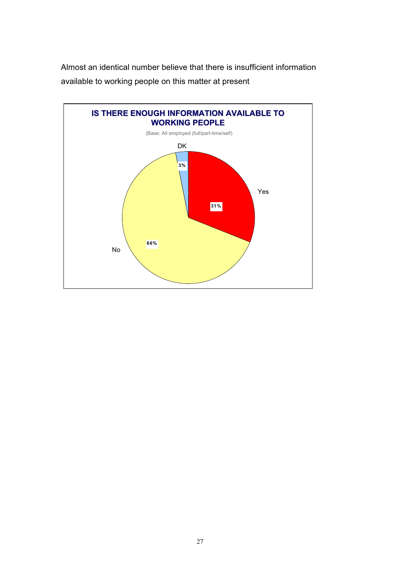Almost an identical number believe that there is insufficient information available to working people on this matter at present

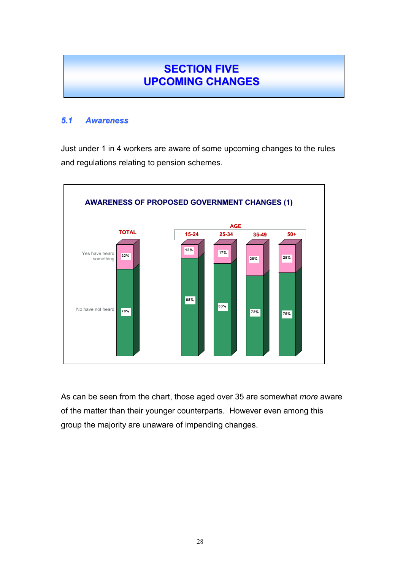## **SECTION FIVE UPCOMING CHANGES**

#### *5.1 Awareness*

Just under 1 in 4 workers are aware of some upcoming changes to the rules and regulations relating to pension schemes.



As can be seen from the chart, those aged over 35 are somewhat *more* aware of the matter than their younger counterparts. However even among this group the majority are unaware of impending changes.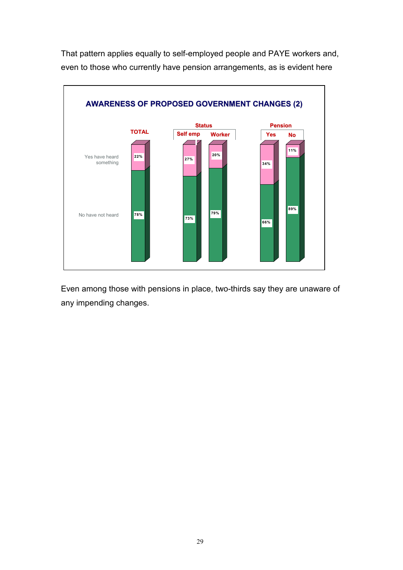That pattern applies equally to self-employed people and PAYE workers and, even to those who currently have pension arrangements, as is evident here



Even among those with pensions in place, two-thirds say they are unaware of any impending changes.